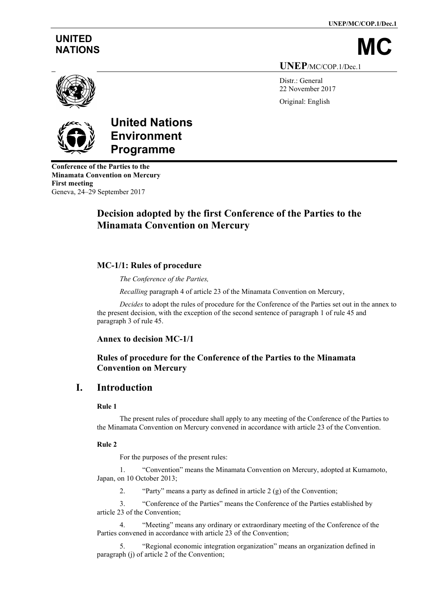**UNEP/MC/COP.1/Dec.1**

# **UNITED**

NATIONS

**UNEP**/MC/COP.1/Dec.1

Distr.: General 22 November 2017 Original: English





# **United Nations Environment Programme**

**Conference of the Parties to the Minamata Convention on Mercury First meeting** Geneva, 24–29 September 2017

## **Decision adopted by the first Conference of the Parties to the Minamata Convention on Mercury**

## **MC-1/1: Rules of procedure**

*The Conference of the Parties,*

*Recalling* paragraph 4 of article 23 of the Minamata Convention on Mercury,

*Decides* to adopt the rules of procedure for the Conference of the Parties set out in the annex to the present decision, with the exception of the second sentence of paragraph 1 of rule 45 and paragraph 3 of rule 45.

#### **Annex to decision MC-1/1**

## **Rules of procedure for the Conference of the Parties to the Minamata Convention on Mercury**

## **I. Introduction**

#### **Rule 1**

The present rules of procedure shall apply to any meeting of the Conference of the Parties to the Minamata Convention on Mercury convened in accordance with article 23 of the Convention.

#### **Rule 2**

For the purposes of the present rules:

1. "Convention" means the Minamata Convention on Mercury, adopted at Kumamoto, Japan, on 10 October 2013;

2. "Party" means a party as defined in article 2 (g) of the Convention;

3. "Conference of the Parties" means the Conference of the Parties established by article 23 of the Convention;

4. "Meeting" means any ordinary or extraordinary meeting of the Conference of the Parties convened in accordance with article 23 of the Convention;

5. "Regional economic integration organization" means an organization defined in paragraph (j) of article 2 of the Convention;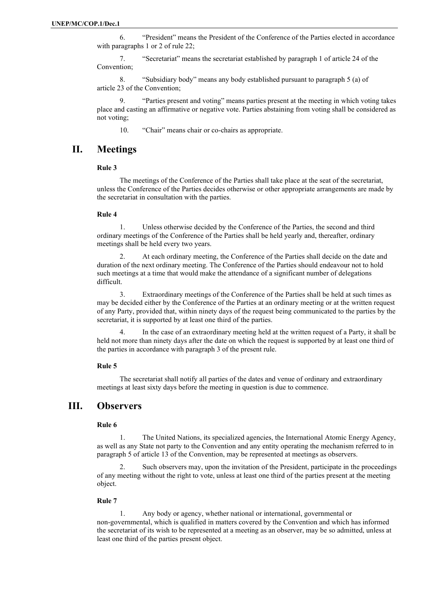6. "President" means the President of the Conference of the Parties elected in accordance with paragraphs 1 or 2 of rule 22;

7. "Secretariat" means the secretariat established by paragraph 1 of article 24 of the Convention;

8. "Subsidiary body" means any body established pursuant to paragraph 5 (a) of article 23 of the Convention;

9. "Parties present and voting" means parties present at the meeting in which voting takes place and casting an affirmative or negative vote. Parties abstaining from voting shall be considered as not voting;

10. "Chair" means chair or co-chairs as appropriate.

## **II. Meetings**

#### **Rule 3**

The meetings of the Conference of the Parties shall take place at the seat of the secretariat, unless the Conference of the Parties decides otherwise or other appropriate arrangements are made by the secretariat in consultation with the parties.

#### **Rule 4**

1. Unless otherwise decided by the Conference of the Parties, the second and third ordinary meetings of the Conference of the Parties shall be held yearly and, thereafter, ordinary meetings shall be held every two years.

At each ordinary meeting, the Conference of the Parties shall decide on the date and duration of the next ordinary meeting. The Conference of the Parties should endeavour not to hold such meetings at a time that would make the attendance of a significant number of delegations difficult.

3. Extraordinary meetings of the Conference of the Parties shall be held at such times as may be decided either by the Conference of the Parties at an ordinary meeting or at the written request of any Party, provided that, within ninety days of the request being communicated to the parties by the secretariat, it is supported by at least one third of the parties.

4. In the case of an extraordinary meeting held at the written request of a Party, it shall be held not more than ninety days after the date on which the request is supported by at least one third of the parties in accordance with paragraph 3 of the present rule.

#### **Rule 5**

The secretariat shall notify all parties of the dates and venue of ordinary and extraordinary meetings at least sixty days before the meeting in question is due to commence.

## **III. Observers**

#### **Rule 6**

1. The United Nations, its specialized agencies, the International Atomic Energy Agency, as well as any State not party to the Convention and any entity operating the mechanism referred to in paragraph 5 of article 13 of the Convention, may be represented at meetings as observers.

2. Such observers may, upon the invitation of the President, participate in the proceedings of any meeting without the right to vote, unless at least one third of the parties present at the meeting object.

#### **Rule 7**

1. Any body or agency, whether national or international, governmental or non-governmental, which is qualified in matters covered by the Convention and which has informed the secretariat of its wish to be represented at a meeting as an observer, may be so admitted, unless at least one third of the parties present object.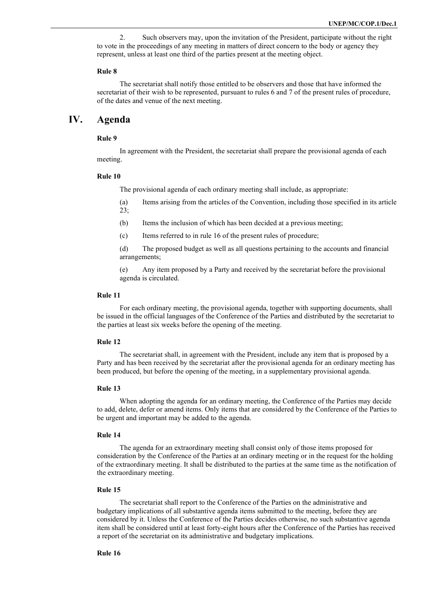2. Such observers may, upon the invitation of the President, participate without the right to vote in the proceedings of any meeting in matters of direct concern to the body or agency they represent, unless at least one third of the parties present at the meeting object.

#### **Rule 8**

The secretariat shall notify those entitled to be observers and those that have informed the secretariat of their wish to be represented, pursuant to rules 6 and 7 of the present rules of procedure, of the dates and venue of the next meeting.

## **IV. Agenda**

#### **Rule 9**

In agreement with the President, the secretariat shall prepare the provisional agenda of each meeting.

#### **Rule 10**

The provisional agenda of each ordinary meeting shall include, as appropriate:

(a) Items arising from the articles of the Convention, including those specified in its article 23;

- (b) Items the inclusion of which has been decided at a previous meeting;
- (c) Items referred to in rule 16 of the present rules of procedure;
- (d) The proposed budget as well as all questions pertaining to the accounts and financial arrangements;

(e) Any item proposed by a Party and received by the secretariat before the provisional agenda is circulated.

#### **Rule 11**

For each ordinary meeting, the provisional agenda, together with supporting documents, shall be issued in the official languages of the Conference of the Parties and distributed by the secretariat to the parties at least six weeks before the opening of the meeting.

#### **Rule 12**

The secretariat shall, in agreement with the President, include any item that is proposed by a Party and has been received by the secretariat after the provisional agenda for an ordinary meeting has been produced, but before the opening of the meeting, in a supplementary provisional agenda.

#### **Rule 13**

When adopting the agenda for an ordinary meeting, the Conference of the Parties may decide to add, delete, defer or amend items. Only items that are considered by the Conference of the Parties to be urgent and important may be added to the agenda.

#### **Rule 14**

The agenda for an extraordinary meeting shall consist only of those items proposed for consideration by the Conference of the Parties at an ordinary meeting or in the request for the holding of the extraordinary meeting. It shall be distributed to the parties at the same time as the notification of the extraordinary meeting.

#### **Rule 15**

The secretariat shall report to the Conference of the Parties on the administrative and budgetary implications of all substantive agenda items submitted to the meeting, before they are considered by it. Unless the Conference of the Parties decides otherwise, no such substantive agenda item shall be considered until at least forty-eight hours after the Conference of the Parties has received a report of the secretariat on its administrative and budgetary implications.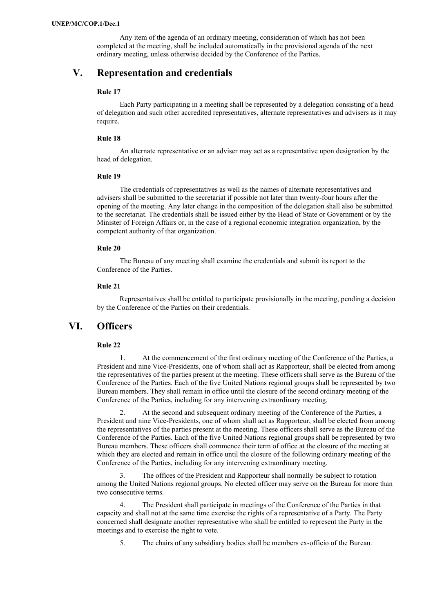Any item of the agenda of an ordinary meeting, consideration of which has not been completed at the meeting, shall be included automatically in the provisional agenda of the next ordinary meeting, unless otherwise decided by the Conference of the Parties.

## **V. Representation and credentials**

#### **Rule 17**

Each Party participating in a meeting shall be represented by a delegation consisting of a head of delegation and such other accredited representatives, alternate representatives and advisers as it may require.

#### **Rule 18**

An alternate representative or an adviser may act as a representative upon designation by the head of delegation.

#### **Rule 19**

The credentials of representatives as well as the names of alternate representatives and advisers shall be submitted to the secretariat if possible not later than twenty-four hours after the opening of the meeting. Any later change in the composition of the delegation shall also be submitted to the secretariat. The credentials shall be issued either by the Head of State or Government or by the Minister of Foreign Affairs or, in the case of a regional economic integration organization, by the competent authority of that organization.

#### **Rule 20**

The Bureau of any meeting shall examine the credentials and submit its report to the Conference of the Parties.

#### **Rule 21**

Representatives shall be entitled to participate provisionally in the meeting, pending a decision by the Conference of the Parties on their credentials.

## **VI. Officers**

#### **Rule 22**

1. At the commencement of the first ordinary meeting of the Conference of the Parties, a President and nine Vice-Presidents, one of whom shall act as Rapporteur, shall be elected from among the representatives of the parties present at the meeting. These officers shall serve as the Bureau of the Conference of the Parties. Each of the five United Nations regional groups shall be represented by two Bureau members. They shall remain in office until the closure of the second ordinary meeting of the Conference of the Parties, including for any intervening extraordinary meeting.

At the second and subsequent ordinary meeting of the Conference of the Parties, a President and nine Vice-Presidents, one of whom shall act as Rapporteur, shall be elected from among the representatives of the parties present at the meeting. These officers shall serve as the Bureau of the Conference of the Parties. Each of the five United Nations regional groups shall be represented by two Bureau members. These officers shall commence their term of office at the closure of the meeting at which they are elected and remain in office until the closure of the following ordinary meeting of the Conference of the Parties, including for any intervening extraordinary meeting.

3. The offices of the President and Rapporteur shall normally be subject to rotation among the United Nations regional groups. No elected officer may serve on the Bureau for more than two consecutive terms.

The President shall participate in meetings of the Conference of the Parties in that capacity and shall not at the same time exercise the rights of a representative of a Party. The Party concerned shall designate another representative who shall be entitled to represent the Party in the meetings and to exercise the right to vote.

5. The chairs of any subsidiary bodies shall be members ex-officio of the Bureau.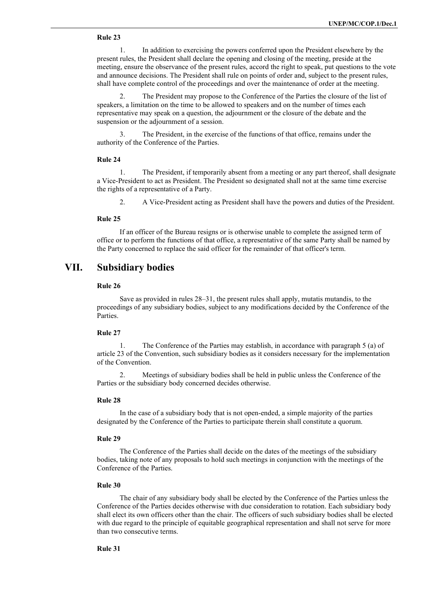#### **Rule 23**

1. In addition to exercising the powers conferred upon the President elsewhere by the present rules, the President shall declare the opening and closing of the meeting, preside at the meeting, ensure the observance of the present rules, accord the right to speak, put questions to the vote and announce decisions. The President shall rule on points of order and, subject to the present rules, shall have complete control of the proceedings and over the maintenance of order at the meeting.

2. The President may propose to the Conference of the Parties the closure of the list of speakers, a limitation on the time to be allowed to speakers and on the number of times each representative may speak on a question, the adjournment or the closure of the debate and the suspension or the adjournment of a session.

3. The President, in the exercise of the functions of that office, remains under the authority of the Conference of the Parties.

#### **Rule 24**

1. The President, if temporarily absent from a meeting or any part thereof, shall designate a Vice-President to act as President. The President so designated shall not at the same time exercise the rights of a representative of a Party.

2. A Vice-President acting as President shall have the powers and duties of the President.

#### **Rule 25**

If an officer of the Bureau resigns or is otherwise unable to complete the assigned term of office or to perform the functions of that office, a representative of the same Party shall be named by the Party concerned to replace the said officer for the remainder of that officer's term.

## **VII. Subsidiary bodies**

#### **Rule 26**

Save as provided in rules 28–31, the present rules shall apply, mutatis mutandis, to the proceedings of any subsidiary bodies, subject to any modifications decided by the Conference of the Parties.

#### **Rule 27**

The Conference of the Parties may establish, in accordance with paragraph 5 (a) of article 23 of the Convention, such subsidiary bodies as it considers necessary for the implementation of the Convention.

Meetings of subsidiary bodies shall be held in public unless the Conference of the Parties or the subsidiary body concerned decides otherwise.

#### **Rule 28**

In the case of a subsidiary body that is not open-ended, a simple majority of the parties designated by the Conference of the Parties to participate therein shall constitute a quorum.

#### **Rule 29**

The Conference of the Parties shall decide on the dates of the meetings of the subsidiary bodies, taking note of any proposals to hold such meetings in conjunction with the meetings of the Conference of the Parties.

#### **Rule 30**

The chair of any subsidiary body shall be elected by the Conference of the Parties unless the Conference of the Parties decides otherwise with due consideration to rotation. Each subsidiary body shall elect its own officers other than the chair. The officers of such subsidiary bodies shall be elected with due regard to the principle of equitable geographical representation and shall not serve for more than two consecutive terms.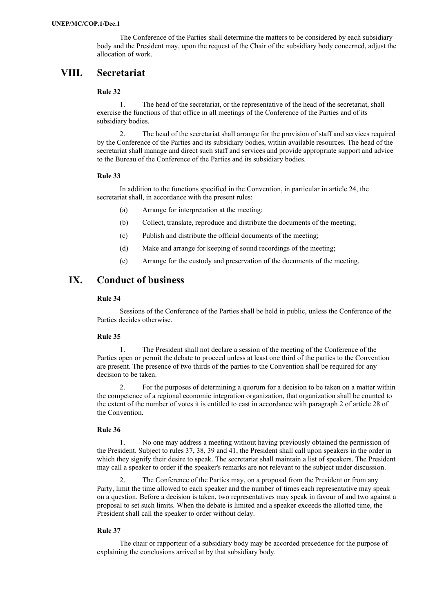The Conference of the Parties shall determine the matters to be considered by each subsidiary body and the President may, upon the request of the Chair of the subsidiary body concerned, adjust the allocation of work.

## **VIII. Secretariat**

#### **Rule 32**

1. The head of the secretariat, or the representative of the head of the secretariat, shall exercise the functions of that office in all meetings of the Conference of the Parties and of its subsidiary bodies.

2. The head of the secretariat shall arrange for the provision of staff and services required by the Conference of the Parties and its subsidiary bodies, within available resources. The head of the secretariat shall manage and direct such staff and services and provide appropriate support and advice to the Bureau of the Conference of the Parties and its subsidiary bodies.

#### **Rule 33**

In addition to the functions specified in the Convention, in particular in article 24, the secretariat shall, in accordance with the present rules:

- (a) Arrange for interpretation at the meeting;
- (b) Collect, translate, reproduce and distribute the documents of the meeting;
- (c) Publish and distribute the official documents of the meeting;
- (d) Make and arrange for keeping of sound recordings of the meeting;
- (e) Arrange for the custody and preservation of the documents of the meeting.

## **IX. Conduct of business**

#### **Rule 34**

Sessions of the Conference of the Parties shall be held in public, unless the Conference of the Parties decides otherwise.

#### **Rule 35**

1. The President shall not declare a session of the meeting of the Conference of the Parties open or permit the debate to proceed unless at least one third of the parties to the Convention are present. The presence of two thirds of the parties to the Convention shall be required for any decision to be taken.

2. For the purposes of determining a quorum for a decision to be taken on a matter within the competence of a regional economic integration organization, that organization shall be counted to the extent of the number of votes it is entitled to cast in accordance with paragraph 2 of article 28 of the Convention.

#### **Rule 36**

1. No one may address a meeting without having previously obtained the permission of the President. Subject to rules 37, 38, 39 and 41, the President shall call upon speakers in the order in which they signify their desire to speak. The secretariat shall maintain a list of speakers. The President may call a speaker to order if the speaker's remarks are not relevant to the subject under discussion.

2. The Conference of the Parties may, on a proposal from the President or from any Party, limit the time allowed to each speaker and the number of times each representative may speak on a question. Before a decision is taken, two representatives may speak in favour of and two against a proposal to set such limits. When the debate is limited and a speaker exceeds the allotted time, the President shall call the speaker to order without delay.

#### **Rule 37**

The chair or rapporteur of a subsidiary body may be accorded precedence for the purpose of explaining the conclusions arrived at by that subsidiary body.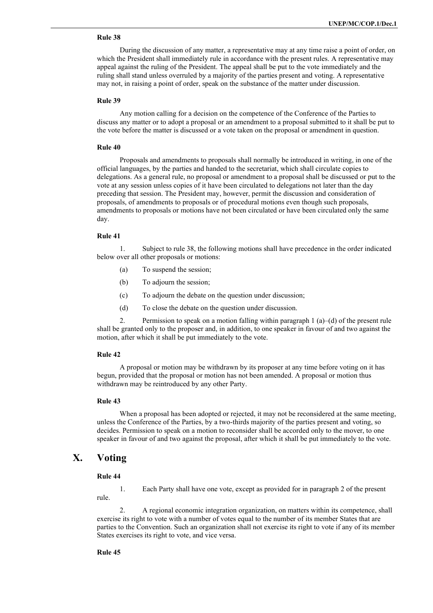#### **Rule 38**

During the discussion of any matter, a representative may at any time raise a point of order, on which the President shall immediately rule in accordance with the present rules. A representative may appeal against the ruling of the President. The appeal shall be put to the vote immediately and the ruling shall stand unless overruled by a majority of the parties present and voting. A representative may not, in raising a point of order, speak on the substance of the matter under discussion.

#### **Rule 39**

Any motion calling for a decision on the competence of the Conference of the Parties to discuss any matter or to adopt a proposal or an amendment to a proposal submitted to it shall be put to the vote before the matter is discussed or a vote taken on the proposal or amendment in question.

#### **Rule 40**

Proposals and amendments to proposals shall normally be introduced in writing, in one of the official languages, by the parties and handed to the secretariat, which shall circulate copies to delegations. As a general rule, no proposal or amendment to a proposal shall be discussed or put to the vote at any session unless copies of it have been circulated to delegations not later than the day preceding that session. The President may, however, permit the discussion and consideration of proposals, of amendments to proposals or of procedural motions even though such proposals, amendments to proposals or motions have not been circulated or have been circulated only the same day.

#### **Rule 41**

1. Subject to rule 38, the following motions shall have precedence in the order indicated below over all other proposals or motions:

- (a) To suspend the session;
- (b) To adjourn the session;
- (c) To adjourn the debate on the question under discussion;
- (d) To close the debate on the question under discussion.

2. Permission to speak on a motion falling within paragraph 1 (a)–(d) of the present rule shall be granted only to the proposer and, in addition, to one speaker in favour of and two against the motion, after which it shall be put immediately to the vote.

#### **Rule 42**

A proposal or motion may be withdrawn by its proposer at any time before voting on it has begun, provided that the proposal or motion has not been amended. A proposal or motion thus withdrawn may be reintroduced by any other Party.

#### **Rule 43**

When a proposal has been adopted or rejected, it may not be reconsidered at the same meeting, unless the Conference of the Parties, by a two-thirds majority of the parties present and voting, so decides. Permission to speak on a motion to reconsider shall be accorded only to the mover, to one speaker in favour of and two against the proposal, after which it shall be put immediately to the vote.

## **X. Voting**

#### **Rule 44**

1. Each Party shall have one vote, except as provided for in paragraph 2 of the present rule.

2. A regional economic integration organization, on matters within its competence, shall exercise its right to vote with a number of votes equal to the number of its member States that are parties to the Convention. Such an organization shall not exercise its right to vote if any of its member States exercises its right to vote, and vice versa.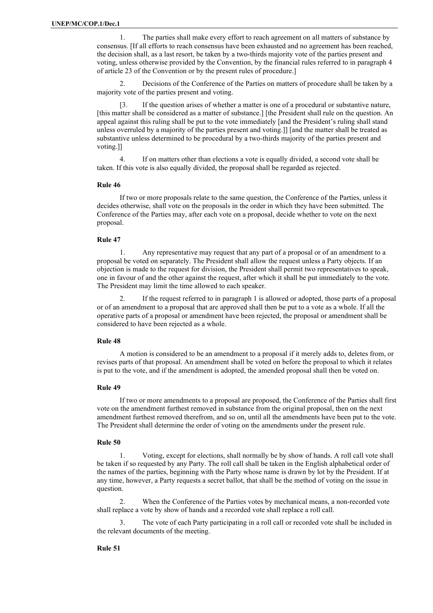1. The parties shall make every effort to reach agreement on all matters of substance by consensus. [If all efforts to reach consensus have been exhausted and no agreement has been reached, the decision shall, as a last resort, be taken by a two-thirds majority vote of the parties present and voting, unless otherwise provided by the Convention, by the financial rules referred to in paragraph 4 of article 23 of the Convention or by the present rules of procedure.]

2. Decisions of the Conference of the Parties on matters of procedure shall be taken by a majority vote of the parties present and voting.

[3. If the question arises of whether a matter is one of a procedural or substantive nature, [this matter shall be considered as a matter of substance.] [the President shall rule on the question. An appeal against this ruling shall be put to the vote immediately [and the President's ruling shall stand unless overruled by a majority of the parties present and voting.]] [and the matter shall be treated as substantive unless determined to be procedural by a two-thirds majority of the parties present and voting.]]

4. If on matters other than elections a vote is equally divided, a second vote shall be taken. If this vote is also equally divided, the proposal shall be regarded as rejected.

#### **Rule 46**

If two or more proposals relate to the same question, the Conference of the Parties, unless it decides otherwise, shall vote on the proposals in the order in which they have been submitted. The Conference of the Parties may, after each vote on a proposal, decide whether to vote on the next proposal.

#### **Rule 47**

1. Any representative may request that any part of a proposal or of an amendment to a proposal be voted on separately. The President shall allow the request unless a Party objects. If an objection is made to the request for division, the President shall permit two representatives to speak, one in favour of and the other against the request, after which it shall be put immediately to the vote. The President may limit the time allowed to each speaker.

2. If the request referred to in paragraph 1 is allowed or adopted, those parts of a proposal or of an amendment to a proposal that are approved shall then be put to a vote as a whole. If all the operative parts of a proposal or amendment have been rejected, the proposal or amendment shall be considered to have been rejected as a whole.

#### **Rule 48**

A motion is considered to be an amendment to a proposal if it merely adds to, deletes from, or revises parts of that proposal. An amendment shall be voted on before the proposal to which it relates is put to the vote, and if the amendment is adopted, the amended proposal shall then be voted on.

#### **Rule 49**

If two or more amendments to a proposal are proposed, the Conference of the Parties shall first vote on the amendment furthest removed in substance from the original proposal, then on the next amendment furthest removed therefrom, and so on, until all the amendments have been put to the vote. The President shall determine the order of voting on the amendments under the present rule.

#### **Rule 50**

1. Voting, except for elections, shall normally be by show of hands. A roll call vote shall be taken if so requested by any Party. The roll call shall be taken in the English alphabetical order of the names of the parties, beginning with the Party whose name is drawn by lot by the President. If at any time, however, a Party requests a secret ballot, that shall be the method of voting on the issue in question.

2. When the Conference of the Parties votes by mechanical means, a non-recorded vote shall replace a vote by show of hands and a recorded vote shall replace a roll call.

The vote of each Party participating in a roll call or recorded vote shall be included in the relevant documents of the meeting.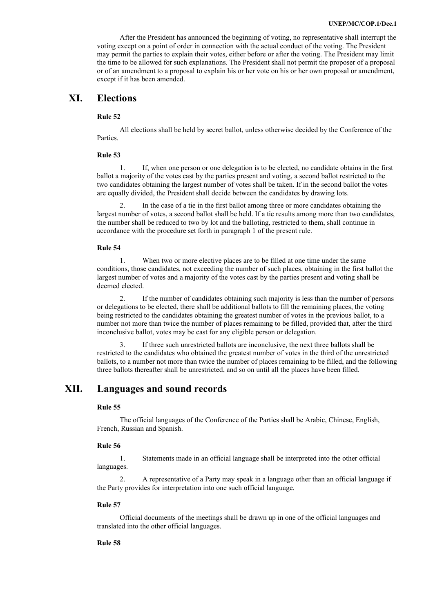After the President has announced the beginning of voting, no representative shall interrupt the voting except on a point of order in connection with the actual conduct of the voting. The President may permit the parties to explain their votes, either before or after the voting. The President may limit the time to be allowed for such explanations. The President shall not permit the proposer of a proposal or of an amendment to a proposal to explain his or her vote on his or her own proposal or amendment, except if it has been amended.

## **XI. Elections**

#### **Rule 52**

All elections shall be held by secret ballot, unless otherwise decided by the Conference of the Parties.

#### **Rule 53**

1. If, when one person or one delegation is to be elected, no candidate obtains in the first ballot a majority of the votes cast by the parties present and voting, a second ballot restricted to the two candidates obtaining the largest number of votes shall be taken. If in the second ballot the votes are equally divided, the President shall decide between the candidates by drawing lots.

2. In the case of a tie in the first ballot among three or more candidates obtaining the largest number of votes, a second ballot shall be held. If a tie results among more than two candidates, the number shall be reduced to two by lot and the balloting, restricted to them, shall continue in accordance with the procedure set forth in paragraph 1 of the present rule.

#### **Rule 54**

1. When two or more elective places are to be filled at one time under the same conditions, those candidates, not exceeding the number of such places, obtaining in the first ballot the largest number of votes and a majority of the votes cast by the parties present and voting shall be deemed elected.

2. If the number of candidates obtaining such majority is less than the number of persons or delegations to be elected, there shall be additional ballots to fill the remaining places, the voting being restricted to the candidates obtaining the greatest number of votes in the previous ballot, to a number not more than twice the number of places remaining to be filled, provided that, after the third inconclusive ballot, votes may be cast for any eligible person or delegation.

3. If three such unrestricted ballots are inconclusive, the next three ballots shall be restricted to the candidates who obtained the greatest number of votes in the third of the unrestricted ballots, to a number not more than twice the number of places remaining to be filled, and the following three ballots thereafter shall be unrestricted, and so on until all the places have been filled.

## **XII. Languages and sound records**

#### **Rule 55**

The official languages of the Conference of the Parties shall be Arabic, Chinese, English, French, Russian and Spanish.

#### **Rule 56**

1. Statements made in an official language shall be interpreted into the other official languages.

2. A representative of a Party may speak in a language other than an official language if the Party provides for interpretation into one such official language.

#### **Rule 57**

Official documents of the meetings shall be drawn up in one of the official languages and translated into the other official languages.